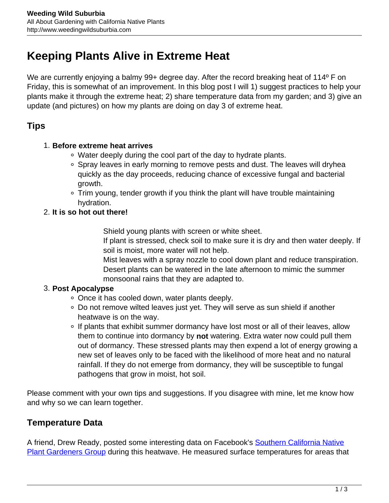# **Keeping Plants Alive in Extreme Heat**

We are currently enjoying a balmy 99+ degree day. After the record breaking heat of 114<sup>°</sup> F on Friday, this is somewhat of an improvement. In this blog post I will 1) suggest practices to help your plants make it through the extreme heat; 2) share temperature data from my garden; and 3) give an update (and pictures) on how my plants are doing on day 3 of extreme heat.

## **Tips**

#### 1. **Before extreme heat arrives**

- Water deeply during the cool part of the day to hydrate plants.
- Spray leaves in early morning to remove pests and dust. The leaves will dryhea quickly as the day proceeds, reducing chance of excessive fungal and bacterial growth.
- Trim young, tender growth if you think the plant will have trouble maintaining hydration.
- 2. **It is so hot out there!**

Shield young plants with screen or white sheet.

If plant is stressed, check soil to make sure it is dry and then water deeply. If soil is moist, more water will not help.

Mist leaves with a spray nozzle to cool down plant and reduce transpiration. Desert plants can be watered in the late afternoon to mimic the summer monsoonal rains that they are adapted to.

## 3. **Post Apocalypse**

- Once it has cooled down, water plants deeply.
- Do not remove wilted leaves just yet. They will serve as sun shield if another heatwave is on the way.
- If plants that exhibit summer dormancy have lost most or all of their leaves, allow them to continue into dormancy by **not** watering. Extra water now could pull them out of dormancy. These stressed plants may then expend a lot of energy growing a new set of leaves only to be faced with the likelihood of more heat and no natural rainfall. If they do not emerge from dormancy, they will be susceptible to fungal pathogens that grow in moist, hot soil.

Please comment with your own tips and suggestions. If you disagree with mine, let me know how and why so we can learn together.

## **Temperature Data**

A friend, Drew Ready, posted some interesting data on Facebook's [Southern California Native](https://goo.gl/YtQfn2) [Plant Gardeners Group](https://goo.gl/YtQfn2) during this heatwave. He measured surface temperatures for areas that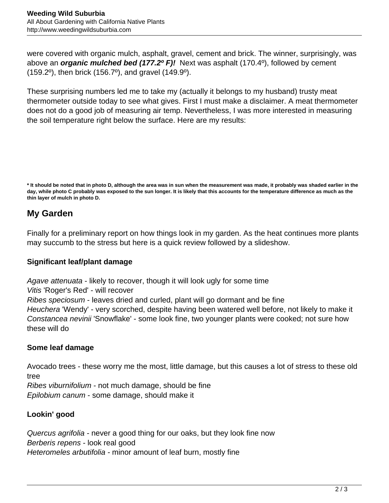were covered with organic mulch, asphalt, gravel, cement and brick. The winner, surprisingly, was above an **organic mulched bed (177.2º F)!** Next was asphalt (170.4º), followed by cement (159.2º), then brick (156.7º), and gravel (149.9º).

These surprising numbers led me to take my (actually it belongs to my husband) trusty meat thermometer outside today to see what gives. First I must make a disclaimer. A meat thermometer does not do a good job of measuring air temp. Nevertheless, I was more interested in measuring the soil temperature right below the surface. Here are my results:

## **My Garden**

Finally for a preliminary report on how things look in my garden. As the heat continues more plants may succumb to the stress but here is a quick review followed by a slideshow.

## **Significant leaf/plant damage**

Agave attenuata - likely to recover, though it will look ugly for some time Vitis 'Roger's Red' - will recover Ribes speciosum - leaves dried and curled, plant will go dormant and be fine Heuchera 'Wendy' - very scorched, despite having been watered well before, not likely to make it Constancea nevinii 'Snowflake' - some look fine, two younger plants were cooked; not sure how these will do

## **Some leaf damage**

Avocado trees - these worry me the most, little damage, but this causes a lot of stress to these old tree

Ribes viburnifolium - not much damage, should be fine Epilobium canum - some damage, should make it

## **Lookin' good**

Quercus agrifolia - never a good thing for our oaks, but they look fine now Berberis repens - look real good Heteromeles arbutifolia - minor amount of leaf burn, mostly fine

**<sup>\*</sup> It should be noted that in photo D, although the area was in sun when the measurement was made, it probably was shaded earlier in the day, while photo C probably was exposed to the sun longer. It is likely that this accounts for the temperature difference as much as the thin layer of mulch in photo D.**